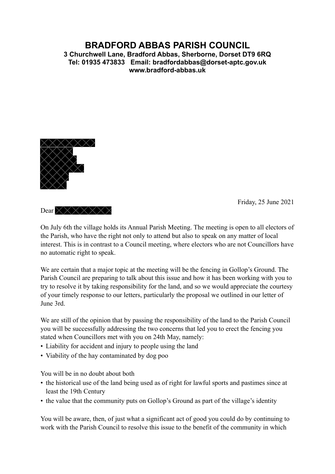## **BRADFORD ABBAS PARISH COUNCIL 3 Churchwell Lane, Bradford Abbas, Sherborne, Dorset DT9 6RQ Tel: 01935 473833 Email: bradfordabbas@dorset-aptc.gov.uk [www.bradford-abbas.uk](http://www.bradford-abbas.uk)**



Dear  $\times \times \times \times \times \times$ 

Friday, 25 June 2021

On July 6th the village holds its Annual Parish Meeting. The meeting is open to all electors of the Parish, who have the right not only to attend but also to speak on any matter of local interest. This is in contrast to a Council meeting, where electors who are not Councillors have no automatic right to speak.

We are certain that a major topic at the meeting will be the fencing in Gollop's Ground. The Parish Council are preparing to talk about this issue and how it has been working with you to try to resolve it by taking responsibility for the land, and so we would appreciate the courtesy of your timely response to our letters, particularly the proposal we outlined in our letter of June 3rd.

We are still of the opinion that by passing the responsibility of the land to the Parish Council you will be successfully addressing the two concerns that led you to erect the fencing you stated when Councillors met with you on 24th May, namely:

- Liability for accident and injury to people using the land
- Viability of the hay contaminated by dog poo

You will be in no doubt about both

- the historical use of the land being used as of right for lawful sports and pastimes since at least the 19th Century
- the value that the community puts on Gollop's Ground as part of the village's identity

You will be aware, then, of just what a significant act of good you could do by continuing to work with the Parish Council to resolve this issue to the benefit of the community in which